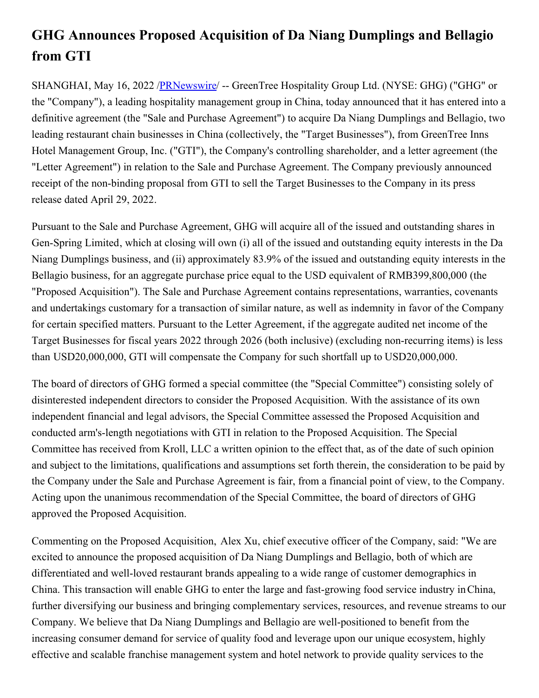# **GHG Announces Proposed Acquisition of Da Niang Dumplings and Bellagio from GTI**

SHANGHAI, May 16, 2022 /**PRNewswire/** -- GreenTree Hospitality Group Ltd. (NYSE: GHG) ("GHG" or the "Company"), a leading hospitality management group in China, today announced that it has entered into a definitive agreement (the "Sale and Purchase Agreement") to acquire Da Niang Dumplings and Bellagio, two leading restaurant chain businesses in China (collectively, the "Target Businesses"), from GreenTree Inns Hotel Management Group, Inc. ("GTI"), the Company's controlling shareholder, and a letter agreement (the "Letter Agreement") in relation to the Sale and Purchase Agreement. The Company previously announced receipt of the non-binding proposal from GTI to sell the Target Businesses to the Company in its press release dated April 29, 2022.

Pursuant to the Sale and Purchase Agreement, GHG will acquire all of the issued and outstanding shares in Gen-Spring Limited, which at closing will own (i) all of the issued and outstanding equity interests in the Da Niang Dumplings business, and (ii) approximately 83.9% of the issued and outstanding equity interests in the Bellagio business, for an aggregate purchase price equal to the USD equivalent of RMB399,800,000 (the "Proposed Acquisition"). The Sale and Purchase Agreement contains representations, warranties, covenants and undertakings customary for a transaction of similar nature, as well as indemnity in favor of the Company for certain specified matters. Pursuant to the Letter Agreement, if the aggregate audited net income of the Target Businesses for fiscal years 2022 through 2026 (both inclusive) (excluding non-recurring items) is less than USD20,000,000, GTI will compensate the Company for such shortfall up to USD20,000,000.

The board of directors of GHG formed a special committee (the "Special Committee") consisting solely of disinterested independent directors to consider the Proposed Acquisition. With the assistance of its own independent financial and legal advisors, the Special Committee assessed the Proposed Acquisition and conducted arm's-length negotiations with GTI in relation to the Proposed Acquisition. The Special Committee has received from Kroll, LLC a written opinion to the effect that, as of the date of such opinion and subject to the limitations, qualifications and assumptions set forth therein, the consideration to be paid by the Company under the Sale and Purchase Agreement is fair, from a financial point of view, to the Company. Acting upon the unanimous recommendation of the Special Committee, the board of directors of GHG approved the Proposed Acquisition.

Commenting on the Proposed Acquisition, Alex Xu, chief executive officer of the Company, said: "We are excited to announce the proposed acquisition of Da Niang Dumplings and Bellagio, both of which are differentiated and well-loved restaurant brands appealing to a wide range of customer demographics in China. This transaction will enable GHG to enter the large and fast-growing food service industry inChina, further diversifying our business and bringing complementary services, resources, and revenue streams to our Company. We believe that Da Niang Dumplings and Bellagio are well-positioned to benefit from the increasing consumer demand for service of quality food and leverage upon our unique ecosystem, highly effective and scalable franchise management system and hotel network to provide quality services to the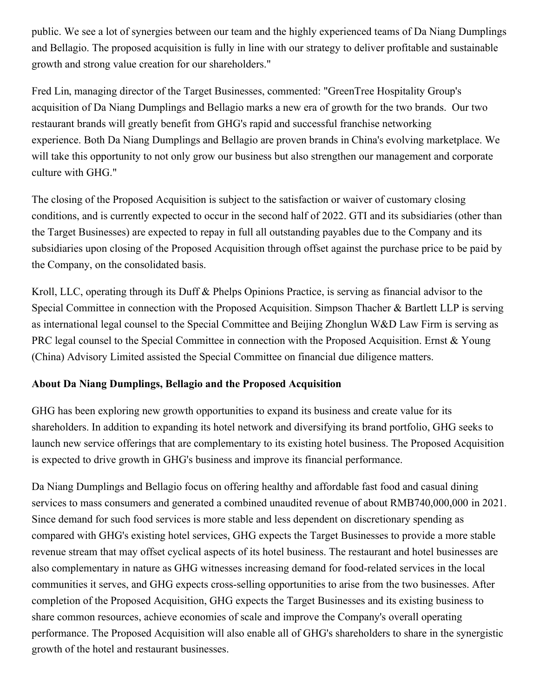public. We see a lot of synergies between our team and the highly experienced teams of Da Niang Dumplings and Bellagio. The proposed acquisition is fully in line with our strategy to deliver profitable and sustainable growth and strong value creation for our shareholders."

Fred Lin, managing director of the Target Businesses, commented: "GreenTree Hospitality Group's acquisition of Da Niang Dumplings and Bellagio marks a new era of growth for the two brands. Our two restaurant brands will greatly benefit from GHG's rapid and successful franchise networking experience. Both Da Niang Dumplings and Bellagio are proven brands in China's evolving marketplace. We will take this opportunity to not only grow our business but also strengthen our management and corporate culture with GHG."

The closing of the Proposed Acquisition is subject to the satisfaction or waiver of customary closing conditions, and is currently expected to occur in the second half of 2022. GTI and its subsidiaries (other than the Target Businesses) are expected to repay in full all outstanding payables due to the Company and its subsidiaries upon closing of the Proposed Acquisition through offset against the purchase price to be paid by the Company, on the consolidated basis.

Kroll, LLC, operating through its Duff & Phelps Opinions Practice, is serving as financial advisor to the Special Committee in connection with the Proposed Acquisition. Simpson Thacher & Bartlett LLP is serving as international legal counsel to the Special Committee and Beijing Zhonglun W&D Law Firm is serving as PRC legal counsel to the Special Committee in connection with the Proposed Acquisition. Ernst & Young (China) Advisory Limited assisted the Special Committee on financial due diligence matters.

## **About Da Niang Dumplings, Bellagio and the Proposed Acquisition**

GHG has been exploring new growth opportunities to expand its business and create value for its shareholders. In addition to expanding its hotel network and diversifying its brand portfolio, GHG seeks to launch new service offerings that are complementary to its existing hotel business. The Proposed Acquisition is expected to drive growth in GHG's business and improve its financial performance.

Da Niang Dumplings and Bellagio focus on offering healthy and affordable fast food and casual dining services to mass consumers and generated a combined unaudited revenue of about RMB740,000,000 in 2021. Since demand for such food services is more stable and less dependent on discretionary spending as compared with GHG's existing hotel services, GHG expects the Target Businesses to provide a more stable revenue stream that may offset cyclical aspects of its hotel business. The restaurant and hotel businesses are also complementary in nature as GHG witnesses increasing demand for food-related services in the local communities it serves, and GHG expects cross-selling opportunities to arise from the two businesses. After completion of the Proposed Acquisition, GHG expects the Target Businesses and its existing business to share common resources, achieve economies of scale and improve the Company's overall operating performance. The Proposed Acquisition will also enable all of GHG's shareholders to share in the synergistic growth of the hotel and restaurant businesses.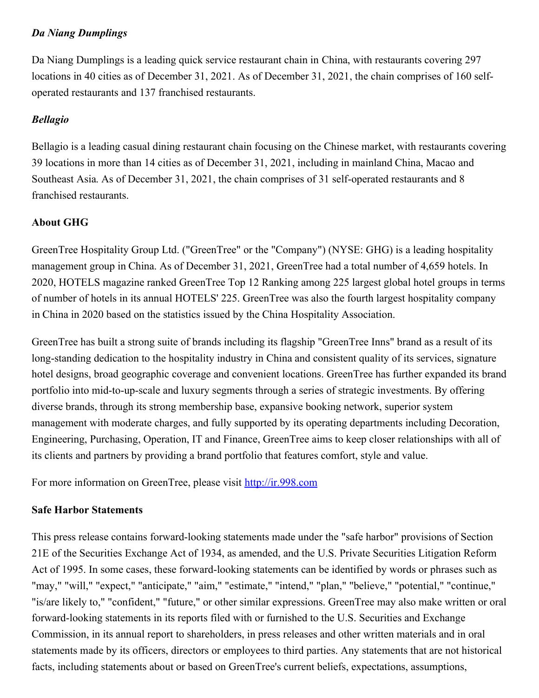### *Da Niang Dumplings*

Da Niang Dumplings is a leading quick service restaurant chain in China, with restaurants covering 297 locations in 40 cities as of December 31, 2021. As of December 31, 2021, the chain comprises of 160 selfoperated restaurants and 137 franchised restaurants.

### *Bellagio*

Bellagio is a leading casual dining restaurant chain focusing on the Chinese market, with restaurants covering 39 locations in more than 14 cities as of December 31, 2021, including in mainland China, Macao and Southeast Asia. As of December 31, 2021, the chain comprises of 31 self-operated restaurants and 8 franchised restaurants.

### **About GHG**

GreenTree Hospitality Group Ltd. ("GreenTree" or the "Company") (NYSE: GHG) is a leading hospitality management group in China. As of December 31, 2021, GreenTree had a total number of 4,659 hotels. In 2020, HOTELS magazine ranked GreenTree Top 12 Ranking among 225 largest global hotel groups in terms of number of hotels in its annual HOTELS' 225. GreenTree was also the fourth largest hospitality company in China in 2020 based on the statistics issued by the China Hospitality Association.

GreenTree has built a strong suite of brands including its flagship "GreenTree Inns" brand as a result of its long-standing dedication to the hospitality industry in China and consistent quality of its services, signature hotel designs, broad geographic coverage and convenient locations. GreenTree has further expanded its brand portfolio into mid-to-up-scale and luxury segments through a series of strategic investments. By offering diverse brands, through its strong membership base, expansive booking network, superior system management with moderate charges, and fully supported by its operating departments including Decoration, Engineering, Purchasing, Operation, IT and Finance, GreenTree aims to keep closer relationships with all of its clients and partners by providing a brand portfolio that features comfort, style and value.

For more information on GreenTree, please visit <http://ir.998.com>

#### **Safe Harbor Statements**

This press release contains forward-looking statements made under the "safe harbor" provisions of Section 21E of the Securities Exchange Act of 1934, as amended, and the U.S. Private Securities Litigation Reform Act of 1995. In some cases, these forward-looking statements can be identified by words or phrases such as "may," "will," "expect," "anticipate," "aim," "estimate," "intend," "plan," "believe," "potential," "continue," "is/are likely to," "confident," "future," or other similar expressions. GreenTree may also make written or oral forward-looking statements in its reports filed with or furnished to the U.S. Securities and Exchange Commission, in its annual report to shareholders, in press releases and other written materials and in oral statements made by its officers, directors or employees to third parties. Any statements that are not historical facts, including statements about or based on GreenTree's current beliefs, expectations, assumptions,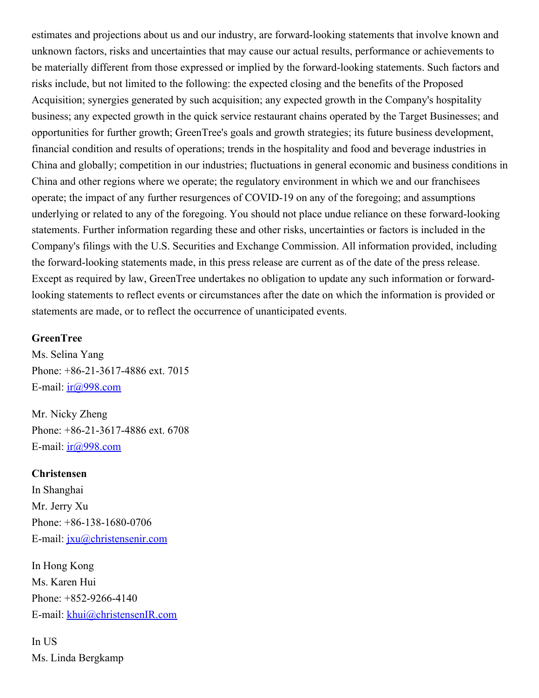estimates and projections about us and our industry, are forward-looking statements that involve known and unknown factors, risks and uncertainties that may cause our actual results, performance or achievements to be materially different from those expressed or implied by the forward-looking statements. Such factors and risks include, but not limited to the following: the expected closing and the benefits of the Proposed Acquisition; synergies generated by such acquisition; any expected growth in the Company's hospitality business; any expected growth in the quick service restaurant chains operated by the Target Businesses; and opportunities for further growth; GreenTree's goals and growth strategies; its future business development, financial condition and results of operations; trends in the hospitality and food and beverage industries in China and globally; competition in our industries; fluctuations in general economic and business conditions in China and other regions where we operate; the regulatory environment in which we and our franchisees operate; the impact of any further resurgences of COVID-19 on any of the foregoing; and assumptions underlying or related to any of the foregoing. You should not place undue reliance on these forward-looking statements. Further information regarding these and other risks, uncertainties or factors is included in the Company's filings with the U.S. Securities and Exchange Commission. All information provided, including the forward-looking statements made, in this press release are current as of the date of the press release. Except as required by law, GreenTree undertakes no obligation to update any such information or forwardlooking statements to reflect events or circumstances after the date on which the information is provided or statements are made, or to reflect the occurrence of unanticipated events.

#### **GreenTree**

Ms. Selina Yang Phone: +86-21-3617-4886 ext. 7015 E-mail:  $ir@998.com$ 

Mr. Nicky Zheng Phone: +86-21-3617-4886 ext. 6708 E-mail:  $ir@998.com$ 

#### **Christensen**

In Shanghai Mr. Jerry Xu Phone: +86-138-1680-0706 E-mail: [jxu@christensenir.com](mailto:jxu@christensenir.com)

In Hong Kong Ms. Karen Hui Phone: +852-9266-4140 E-mail: [khui@christensenIR.com](mailto:khui@christensenIR.com)

In US Ms. Linda Bergkamp